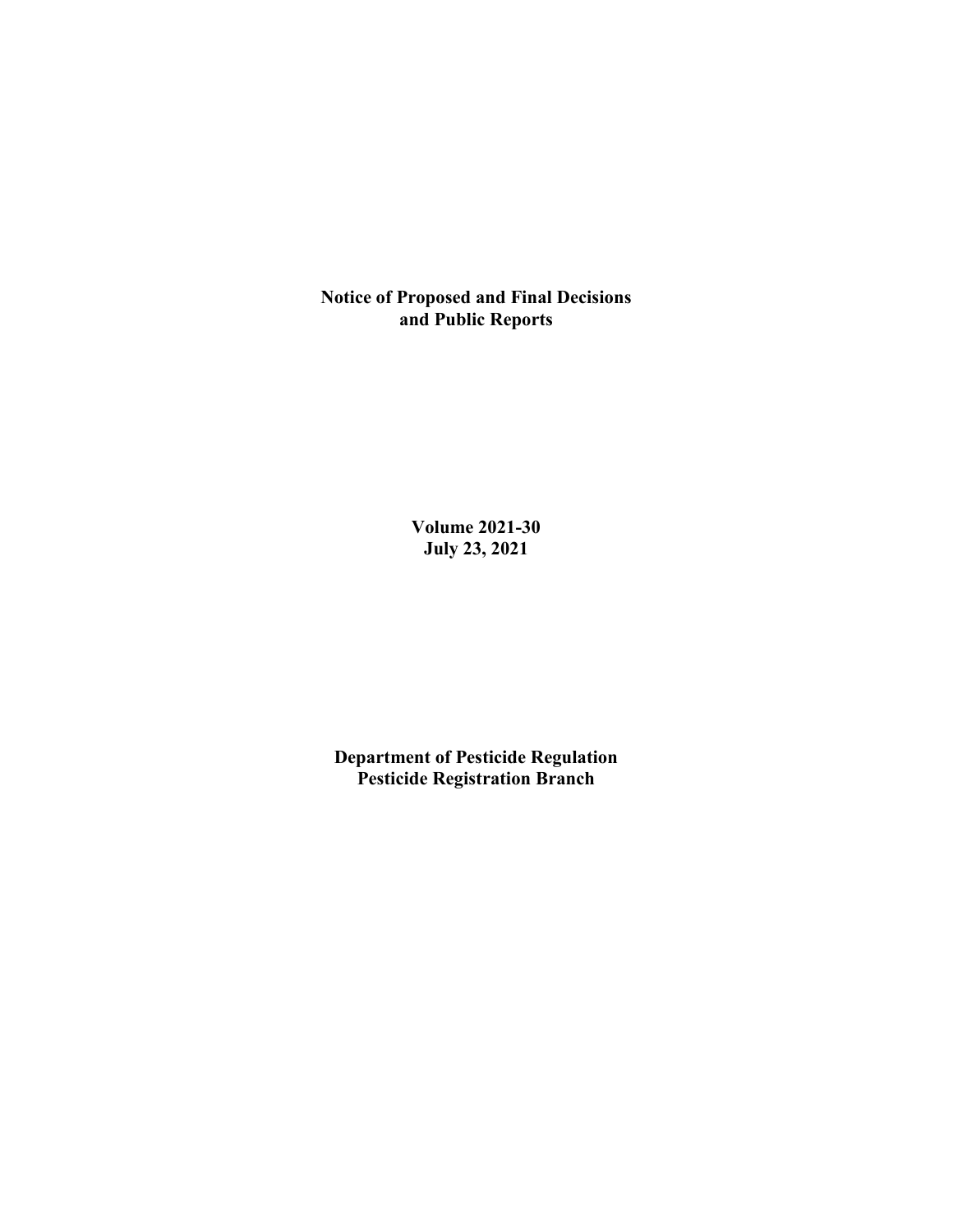**Notice of Proposed and Final Decisions and Public Reports**

> **Volume 2021-30 July 23, 2021**

**Department of Pesticide Regulation Pesticide Registration Branch**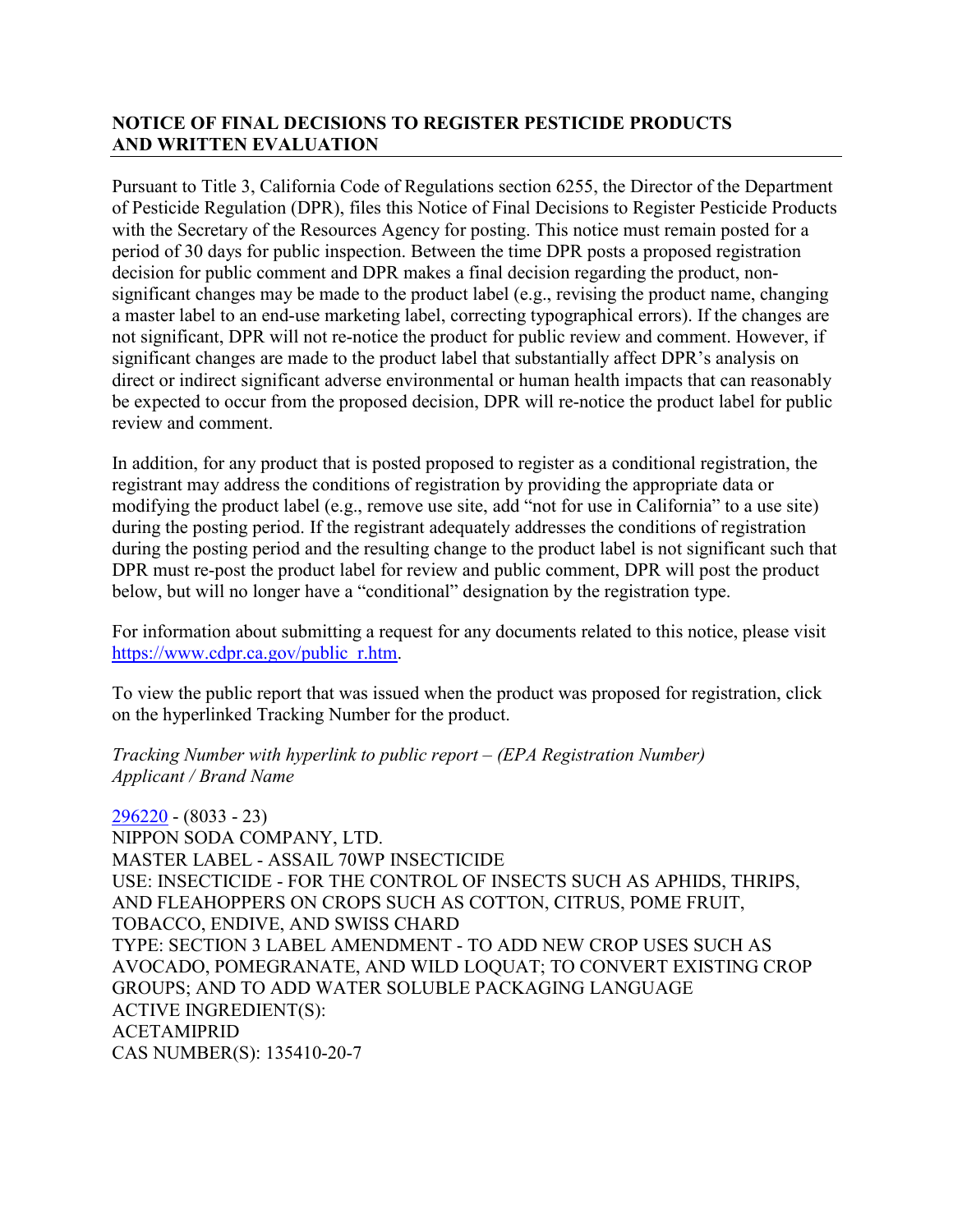## **NOTICE OF FINAL DECISIONS TO REGISTER PESTICIDE PRODUCTS AND WRITTEN EVALUATION**

Pursuant to Title 3, California Code of Regulations section 6255, the Director of the Department of Pesticide Regulation (DPR), files this Notice of Final Decisions to Register Pesticide Products with the Secretary of the Resources Agency for posting. This notice must remain posted for a period of 30 days for public inspection. Between the time DPR posts a proposed registration decision for public comment and DPR makes a final decision regarding the product, nonsignificant changes may be made to the product label (e.g., revising the product name, changing a master label to an end-use marketing label, correcting typographical errors). If the changes are not significant, DPR will not re-notice the product for public review and comment. However, if significant changes are made to the product label that substantially affect DPR's analysis on direct or indirect significant adverse environmental or human health impacts that can reasonably be expected to occur from the proposed decision, DPR will re-notice the product label for public review and comment.

In addition, for any product that is posted proposed to register as a conditional registration, the registrant may address the conditions of registration by providing the appropriate data or modifying the product label (e.g., remove use site, add "not for use in California" to a use site) during the posting period. If the registrant adequately addresses the conditions of registration during the posting period and the resulting change to the product label is not significant such that DPR must re-post the product label for review and public comment, DPR will post the product below, but will no longer have a "conditional" designation by the registration type.

For information about submitting a request for any documents related to this notice, please visit [https://www.cdpr.ca.gov/public\\_r.htm.](https://www.cdpr.ca.gov/public_r.htm)

To view the public report that was issued when the product was proposed for registration, click on the hyperlinked Tracking Number for the product.

#### *Tracking Number with hyperlink to public report – (EPA Registration Number) Applicant / Brand Name*

[296220](https://www.cdpr.ca.gov/docs/registration/nod/public_reports/296220.pdf) - (8033 - 23) NIPPON SODA COMPANY, LTD. MASTER LABEL - ASSAIL 70WP INSECTICIDE USE: INSECTICIDE - FOR THE CONTROL OF INSECTS SUCH AS APHIDS, THRIPS, AND FLEAHOPPERS ON CROPS SUCH AS COTTON, CITRUS, POME FRUIT, TOBACCO, ENDIVE, AND SWISS CHARD TYPE: SECTION 3 LABEL AMENDMENT - TO ADD NEW CROP USES SUCH AS AVOCADO, POMEGRANATE, AND WILD LOQUAT; TO CONVERT EXISTING CROP GROUPS; AND TO ADD WATER SOLUBLE PACKAGING LANGUAGE ACTIVE INGREDIENT(S): ACETAMIPRID CAS NUMBER(S): 135410-20-7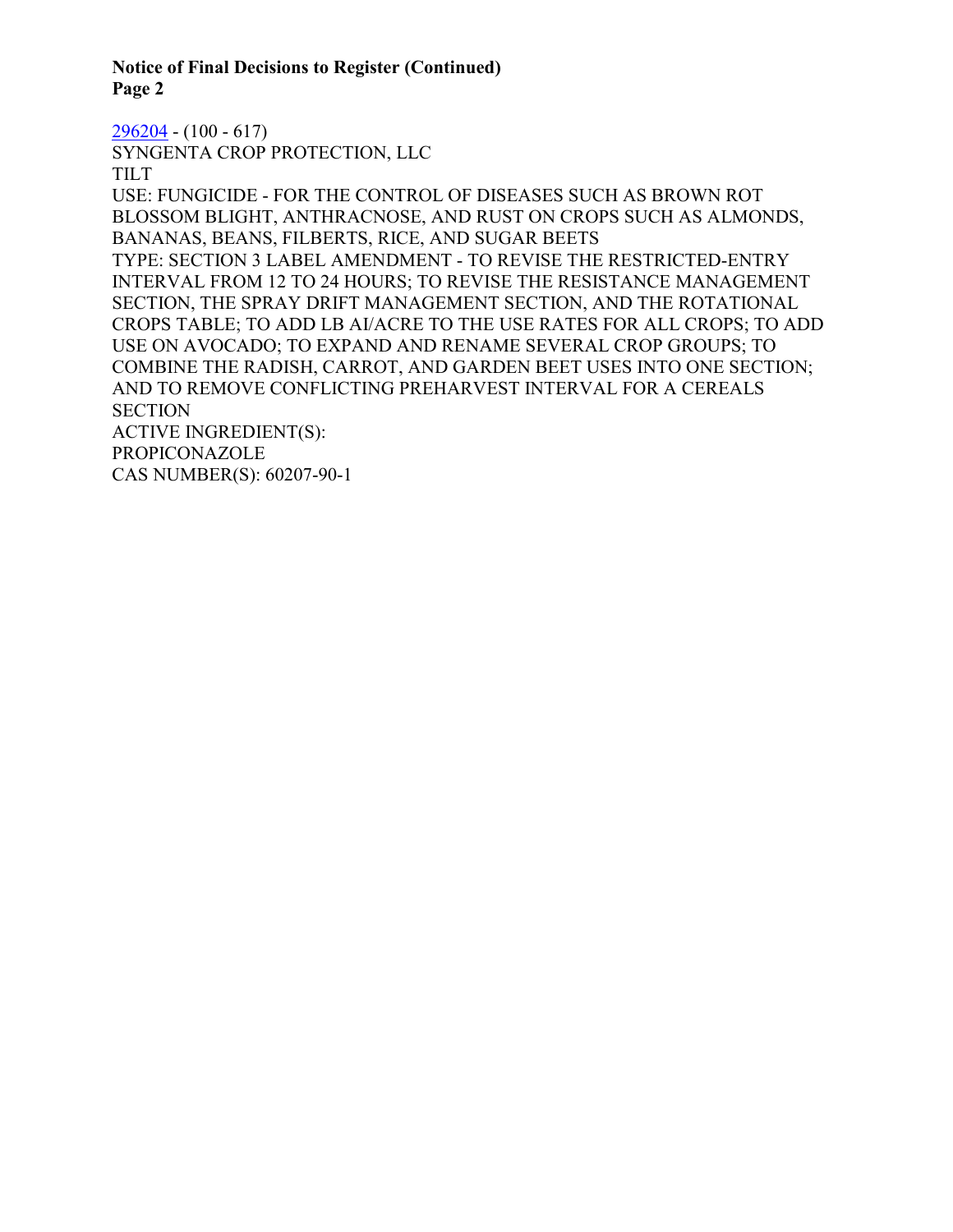**Notice of Final Decisions to Register (Continued) Page 2**

[296204](https://www.cdpr.ca.gov/docs/registration/nod/public_reports/296204.pdf) - (100 - 617) SYNGENTA CROP PROTECTION, LLC TILT USE: FUNGICIDE - FOR THE CONTROL OF DISEASES SUCH AS BROWN ROT BLOSSOM BLIGHT, ANTHRACNOSE, AND RUST ON CROPS SUCH AS ALMONDS, BANANAS, BEANS, FILBERTS, RICE, AND SUGAR BEETS TYPE: SECTION 3 LABEL AMENDMENT - TO REVISE THE RESTRICTED-ENTRY INTERVAL FROM 12 TO 24 HOURS; TO REVISE THE RESISTANCE MANAGEMENT SECTION, THE SPRAY DRIFT MANAGEMENT SECTION, AND THE ROTATIONAL CROPS TABLE; TO ADD LB AI/ACRE TO THE USE RATES FOR ALL CROPS; TO ADD USE ON AVOCADO; TO EXPAND AND RENAME SEVERAL CROP GROUPS; TO COMBINE THE RADISH, CARROT, AND GARDEN BEET USES INTO ONE SECTION; AND TO REMOVE CONFLICTING PREHARVEST INTERVAL FOR A CEREALS **SECTION** ACTIVE INGREDIENT(S): PROPICONAZOLE CAS NUMBER(S): 60207-90-1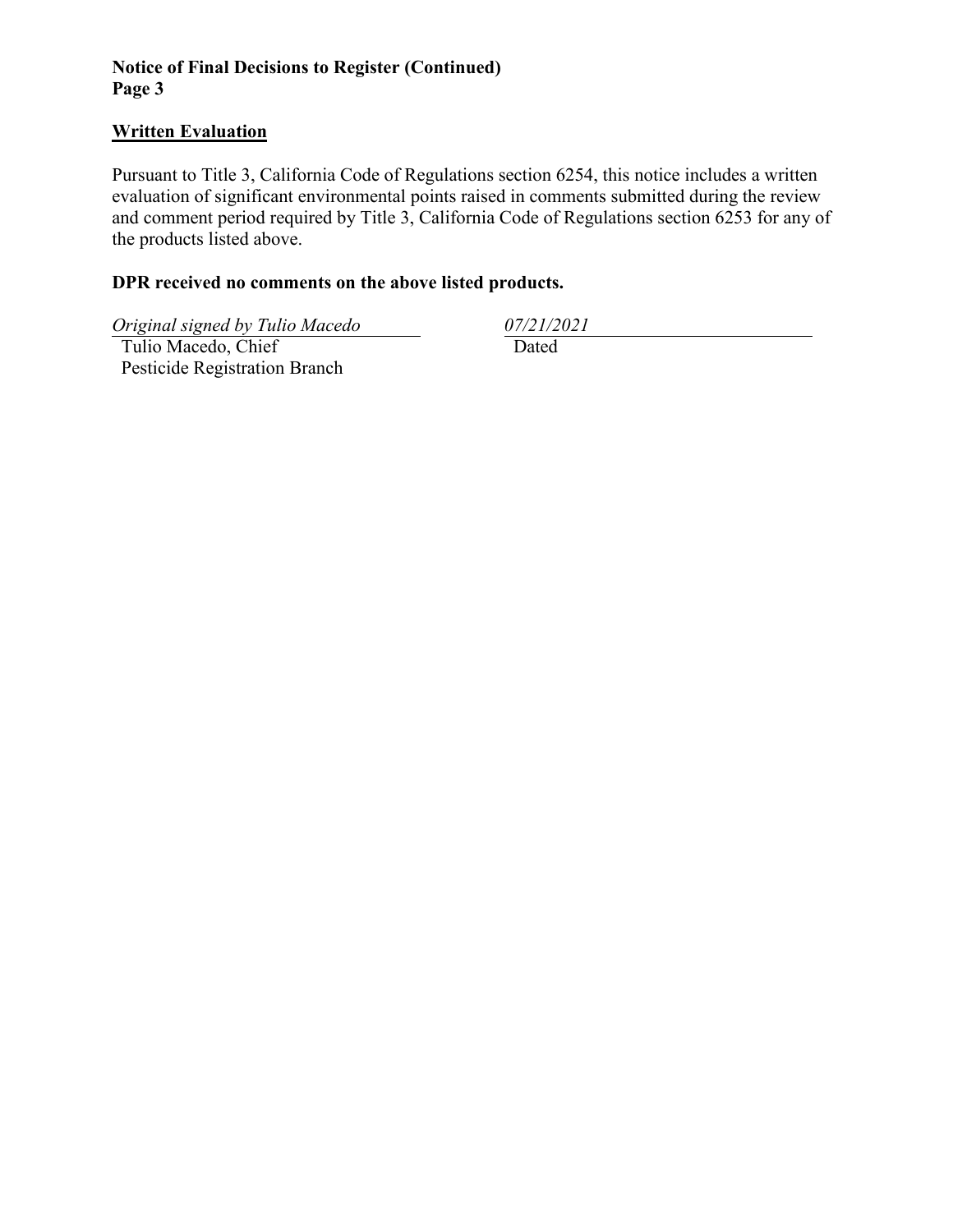## **Notice of Final Decisions to Register (Continued) Page 3**

### **Written Evaluation**

Pursuant to Title 3, California Code of Regulations section 6254, this notice includes a written evaluation of significant environmental points raised in comments submitted during the review and comment period required by Title 3, California Code of Regulations section 6253 for any of the products listed above.

### **DPR received no comments on the above listed products.**

*Original signed by Tulio Macedo 07/21/2021*

 Tulio Macedo, Chief Pesticide Registration Branch

Dated